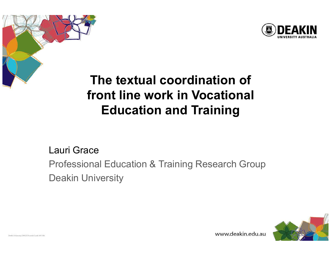



# The textual coordination of front line work in Vocational Education and Training

#### Lauri Grace

Professional Education & Training Research GroupDeakin University



www.deakin.edu.au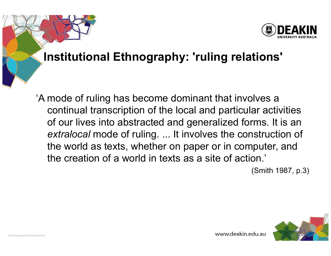# Institutional Ethnography: 'ruling relations'

'A mode of ruling has become dominant that involves a continual transcription of the local and particular activities of our lives into abstracted and generalized forms. It is an extralocal mode of ruling. ... It involves the construction of the world as texts, whether on paper or in computer, and the creation of a world in texts as a site of action.'

(Smith 1987, p.3)

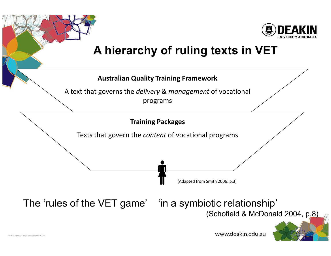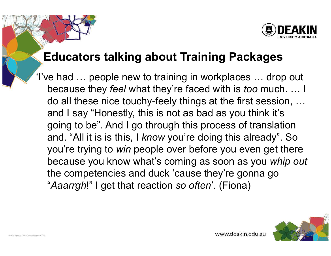# Educators talking about Training Packages

'I've had … people new to training in workplaces … drop out because they *feel* what they're faced with is *too* much. … I do all these nice touchy-feely things at the first session, … and I say "Honestly, this is not as bad as you think it's going to be". And I go through this process of translation and. "All it is is this, I *know* you're doing this already". So<br>wards to disc to *win* passla away befare way away ast there you're trying to *win* people over before you even get there because you know what's coming as soon as you whip outthe competencies and duck 'cause they're gonna go "Aaarrgh!" I get that reaction so often'. (Fiona)

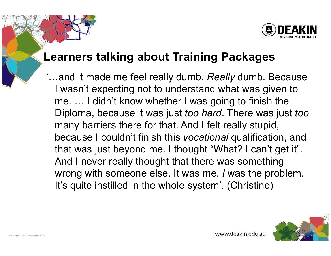#### Learners talking about Training Packages

 $\mathfrak{t}$ …and it made me feel really dumb.  $\boldsymbol{Real}$  dumb. Because I wasn't expecting not to understand what was given to me. … I didn't know whether I was going to finish theDiploma, because it was just *too hard*. There was just *too* many barriers there for that. And I felt really stupid,because I couldn't finish this *vocational* qualification, and that was just beyond me. I thought "What? I can't get it". And I never really thought that there was something wrong with someone else. It was me. I was the problem. It's quite instilled in the whole system'. (Christine)

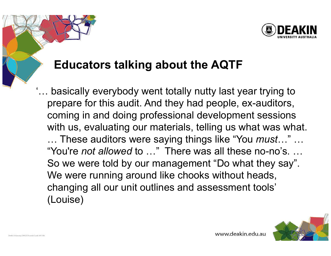

## Educators talking about the AQTF

... basically everybody went totally nutty last year trying to prepare for this audit. And they had people, ex-auditors, coming in and doing professional development sessions with us, evaluating our materials, telling us what was what. … These auditors were saying things like "You *must*…" … "You're *not allowed* to ..." There was all these no-no's. ... So we were told by our management "Do what they say". We were running around like chooks without heads, changing all our unit outlines and assessment tools' (Louise)

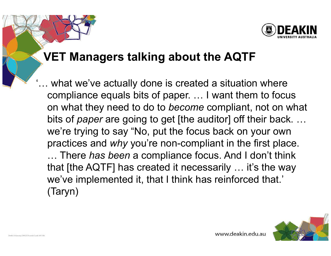

### VET Managers talking about the AQTF

... what we've actually done is created a situation where compliance equals bits of paper. … I want them to focus on what they need to do to *become* compliant, not on what bits of *paper* are going to get [the auditor] off their back. … we're trying to say "No, put the focus back on your own practices and  $why$  you're non-compliant in the first place. … There has been a compliance focus. And I don't think that [the AQTF] has created it necessarily ... it's the way we've implemented it, that I think has reinforced that.' (Taryn)

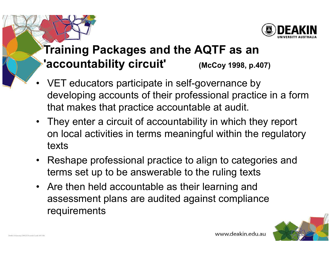

# Training Packages and the AQTF as an 'accountability circuit' (McCoy 1998, p.407)

- • VET educators participate in self-governance by developing accounts of their professional practice in a form that makes that practice accountable at audit.
- They enter a circuit of accountability in which they report on local activities in terms meaningful within the regulatory texts
- $\bullet$  Reshape professional practice to align to categories and terms set up to be answerable to the ruling texts
- Are then held accountable as their learning and assessment plans are audited against compliance requirements

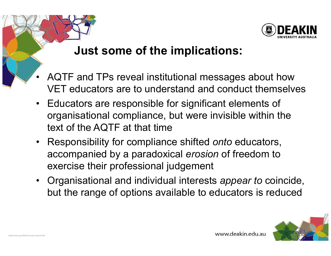

#### Just some of the implications:

- • AQTF and TPs reveal institutional messages about how VET educators are to understand and conduct themselves
- Educators are responsible for significant elements of<br>examinational examilares shut were invisible within the organisational compliance, but were invisible within the text of the AQTF at that time
- Responsibility for compliance shifted onto educators, accompanied by a paradoxical erosion of freedom to exercise their professional judgement
- Organisational and individual interests appear to coincide, but the range of options available to educators is reduced

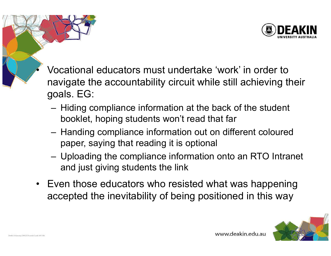

- Vocational educators must undertake 'work' in order to navigate the accountability circuit while still achieving their goals. EG:
	- Hiding compliance information at the back of the student booklet, hoping students won't read that far
	- Handing compliance information out on different coloured paper, saying that reading it is optional
	- Uploading the compliance information onto an RTO Intranet and just giving students the link
- Even those educators who resisted what was happening<br>exampled the inquitability of hoise negitianed in this way. accepted the inevitability of being positioned in this way



•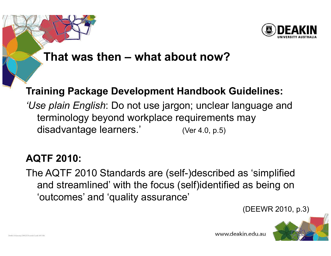

#### That was then – what about now?

#### Training Package Development Handbook Guidelines:

'Use plain English: Do not use jargon; unclear language and terminology beyond workplace requirements may disadvantage learners.' (Ver 4.0, p.5)

#### AQTF 2010:

The AQTF 2010 Standards are (self-)described as 'simplified and streamlined' with the focus (self)identified as being on 'outcomes' and 'quality assurance'

(DEEWR 2010, p.3)